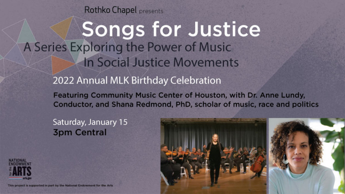**Rothko Chapel presents** 

**Songs for Justice** A Series Exploring the Power of Music **In Social Justice Movements** 2022 Annual MLK Birthday Celebration

> Featuring Community Music Center of Houston, with Dr. Anne Lundy, Conductor, and Shana Redmond, PhD, scholar of music, race and politics

Saturday, January 15 **3pm Central** 





roject is supported in part by the National Endowment for the Arts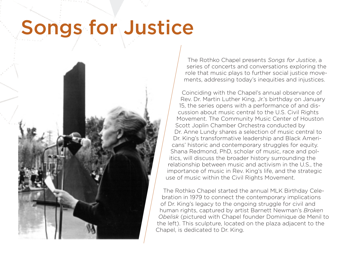## Songs for Justice



The Rothko Chapel presents *Songs for Justice*, a series of concerts and conversations exploring the role that music plays to further social justice movements, addressing today's inequities and injustices.

Coinciding with the Chapel's annual observance of Rev. Dr. Martin Luther King, Jr.'s birthday on January 15, the series opens with a performance of and discussion about music central to the U.S. Civil Rights Movement. The Community Music Center of Houston Scott Joplin Chamber Orchestra conducted by Dr. Anne Lundy shares a selection of music central to Dr. King's transformative leadership and Black Americans' historic and contemporary struggles for equity. Shana Redmond, PhD, scholar of music, race and politics, will discuss the broader history surrounding the relationship between music and activism in the U.S., the importance of music in Rev. King's life, and the strategic use of music within the Civil Rights Movement.

The Rothko Chapel started the annual MLK Birthday Celebration in 1979 to connect the contemporary implications of Dr. King's legacy to the ongoing struggle for civil and human rights, captured by artist Barnett Newman's *Broken Obelisk* (pictured with Chapel founder Dominique de Menil to the left). This sculpture, located on the plaza adjacent to the Chapel, is dedicated to Dr. King.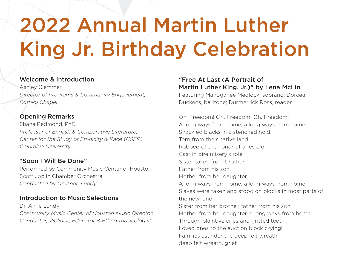# 2022 Annual Martin Luther King Jr. Birthday Celebration

### Welcome & Introduction

Ashley Clemmer *Director of Programs & Community Engagement, Rothko Chapel*

### Opening Remarks

Shana Redmond, PhD *Professor of English & Comparative Literature, Center for the Study of Ethnicity & Race (CSER), Columbia University* 

#### "Soon I Will Be Done"

Performed by Community Music Center of Houston Scott Joplin Chamber Orchestra *Conducted by Dr. Anne Lundy*

#### Introduction to Music Selections

Dr. Anne Lundy *Community Music Center of Houston Music Director, Conductor, Violinist, Educator & Ethno-musicologist*

#### "Free At Last (A Portrait of Martin Luther King, Jr.)" by Lena McLin

Featuring Mahoganee Medlock, soprano; Dorceal Duckens, baritone; Durmerrick Ross, reader

Oh, Freedom! Oh, Freedom! Oh, Freedom! A long ways from home, a long ways from home. Shackled blacks in a stenched hold, Torn from their native land. Robbed of the honor of ages old. Cast in dire misery's role. Sister taken from brother, Father from his son, Mother from her daughter, A long ways from home, a long ways from home. Slaves were taken and stood on blocks in most parts of the new land, Sister from her brother, father from his son, Mother from her daughter, a long ways from home Through plaintive cries and gritted teeth, Loved ones to the auction block crying! Families asunder the deep felt wreath, deep felt wreath, grief.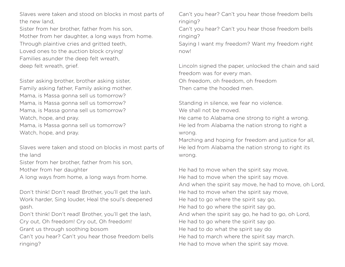Slaves were taken and stood on blocks in most parts of the new land,

Sister from her brother, father from his son, Mother from her daughter, a long ways from home. Through plaintive cries and gritted teeth, Loved ones to the auction block crying! Families asunder the deep felt wreath, deep felt wreath, grief.

Sister asking brother, brother asking sister, Family asking father, Family asking mother. Mama, is Massa gonna sell us tomorrow? Mama, is Massa gonna sell us tomorrow? Mama, is Massa gonna sell us tomorrow? Watch, hope, and pray. Mama, is Massa gonna sell us tomorrow? Watch, hope, and pray.

Slaves were taken and stood on blocks in most parts of the land

Sister from her brother, father from his son,

Mother from her daughter

A long ways from home, a long ways from home.

Don't think! Don't read! Brother, you'll get the lash. Work harder, Sing louder, Heal the soul's deepened gash.

Don't think! Don't read! Brother, you'll get the lash, Cry out, Oh freedom! Cry out, Oh freedom!

Grant us through soothing bosom

Can't you hear? Can't you hear those freedom bells ringing?

Can't you hear? Can't you hear those freedom bells ringing?

Can't you hear? Can't you hear those freedom bells ringing?

Saying I want my freedom? Want my freedom right now!

Lincoln signed the paper, unlocked the chain and said freedom was for every man. Oh freedom, oh freedom, oh freedom Then came the hooded men.

Standing in silence, we fear no violence. We shall not be moved. He came to Alabama one strong to right a wrong. He led from Alabama the nation strong to right a wrong.

Marching and hoping for freedom and justice for all, He led from Alabama the nation strong to right its wrong.

He had to move when the spirit say move, He had to move when the spirit say move. And when the spirit say move, he had to move, oh Lord, He had to move when the spirit say move, He had to go where the spirit say go, He had to go where the spirit say go, And when the spirit say go, he had to go, oh Lord, He had to go where the spirit say go. He had to do what the spirit say do He had to march where the spirit say march. He had to move when the spirit say move.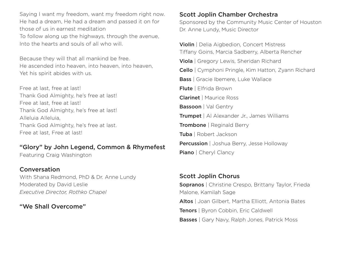Saying I want my freedom, want my freedom right now. He had a dream, He had a dream and passed it on for those of us in earnest meditation To follow along up the highways, through the avenue, Into the hearts and souls of all who will.

Because they will that all mankind be free. He ascended into heaven, into heaven, into heaven, Yet his spirit abides with us.

Free at last, free at last! Thank God Almighty, he's free at last! Free at last, free at last! Thank God Almighty, he's free at last! Alleluia Alleluia, Thank God Almighty, he's free at last. Free at last, Free at last!

"Glory" by John Legend, Common & Rhymefest Featuring Craig Washington

**Conversation** With Shana Redmond, PhD & Dr. Anne Lundy Moderated by David Leslie *Executive Director, Rothko Chapel*

"We Shall Overcome"

#### Scott Joplin Chamber Orchestra

Sponsored by the Community Music Center of Houston Dr. Anne Lundy, Music Director

**Violin** | Delia Aigbedion, Concert Mistress Tiffany Goins, Marcia Sadberry, Alberta Rencher Viola | Gregory Lewis, Sheridan Richard Cello | Cymphoni Pringle, Kim Hatton, Zyann Richard Bass | Gracie Ibemere, Luke Wallace Flute | Elfrida Brown Clarinet | Maurice Ross Bassoon | Val Gentry Trumpet | Al Alexander Jr., James Williams Trombone | Reginald Berry Tuba | Robert Jackson Percussion | Joshua Berry, Jesse Holloway Piano | Cheryl Clancy

Scott Joplin Chorus Sopranos | Christine Crespo, Brittany Taylor, Frieda Malone, Kamilah Sage Altos | Joan Gilbert, Martha Elliott, Antonia Bates Tenors | Byron Cobbin, Eric Caldwell Basses | Gary Navy, Ralph Jones, Patrick Moss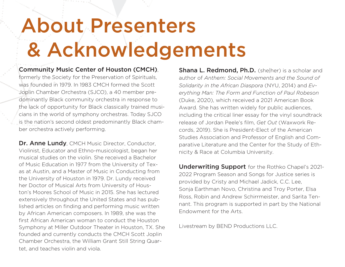# About Presenters & Acknowledgements

#### Community Music Center of Houston (CMCH),

formerly the Society for the Preservation of Spirituals, was founded in 1979. In 1983 CMCH formed the Scott Joplin Chamber Orchestra (SJCO), a 40 member predominantly Black community orchestra in response to the lack of opportunity for Black classically trained musicians in the world of symphony orchestras. Today SJCO is the nation's second oldest predominantly Black chamber orchestra actively performing.

Dr. Anne Lundy, CMCH Music Director, Conductor, Violinist, Educator and Ethno-musicologist, began her musical studies on the violin. She received a Bachelor of Music Education in 1977 from the University of Texas at Austin, and a Master of Music in Conducting from the University of Houston in 1979. Dr. Lundy received her Doctor of Musical Arts from University of Houston's Moores School of Music in 2015. She has lectured extensively throughout the United States and has published articles on finding and performing music written by African American composers. In 1989, she was the first African American woman to conduct the Houston Symphony at Miller Outdoor Theater in Houston, TX. She founded and currently conducts the CMCH Scott Joplin Chamber Orchestra, the William Grant Still String Quartet, and teaches violin and viola.

**Shana L. Redmond, Ph.D.** (shelher) is a scholar and author of *Anthem: Social Movements and the Sound of Solidarity in the African Diaspora* (NYU, 2014) and *Everything Man: The Form and Function of Paul Robeson* (Duke, 2020), which received a 2021 American Book Award. She has written widely for public audiences, including the critical liner essay for the vinyl soundtrack release of Jordan Peele's film, *Get Out* (Waxwork Records, 2019). She is President-Elect of the American Studies Association and Professor of English and Comparative Literature and the Center for the Study of Ethnicity & Race at Columbia University.

Underwriting Support for the Rothko Chapel's 2021- 2022 Program Season and Songs for Justice series is provided by Cristy and Michael Jadick, C.C. Lee, Sonja Earthman Novo, Christina and Troy Porter, Elsa Ross, Robin and Andrew Schirrmeister, and Sarita Tennant. This program is supported in part by the National Endowment for the Arts.

Livestream by BEND Productions LLC.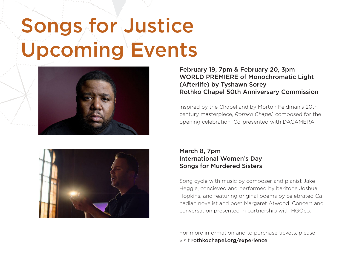## Songs for Justice Upcoming Events



February 19, 7pm & February 20, 3pm WORLD PREMIERE of Monochromatic Light (Afterlife) by Tyshawn Sorey Rothko Chapel 50th Anniversary Commission

Inspired by the Chapel and by Morton Feldman's 20thcentury masterpiece, *Rothko Chapel*, composed for the opening celebration. Co-presented with DACAMERA.

March 8, 7pm International Women's Day Songs for Murdered Sisters

Song cycle with music by composer and pianist Jake Heggie, concieved and performed by baritone Joshua Hopkins, and featuring original poems by celebrated Canadian novelist and poet Margaret Atwood. Concert and conversation presented in partnership with HGOco.

For more information and to purchase tickets, please visit rothkochapel.org/experience.